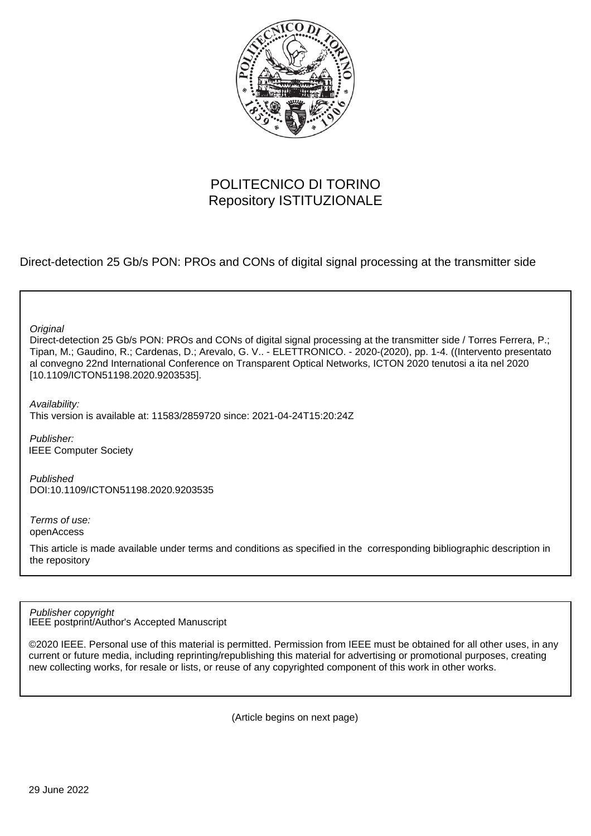

## POLITECNICO DI TORINO Repository ISTITUZIONALE

Direct-detection 25 Gb/s PON: PROs and CONs of digital signal processing at the transmitter side

## **Original**

Direct-detection 25 Gb/s PON: PROs and CONs of digital signal processing at the transmitter side / Torres Ferrera, P.; Tipan, M.; Gaudino, R.; Cardenas, D.; Arevalo, G. V.. - ELETTRONICO. - 2020-(2020), pp. 1-4. ((Intervento presentato al convegno 22nd International Conference on Transparent Optical Networks, ICTON 2020 tenutosi a ita nel 2020 [10.1109/ICTON51198.2020.9203535].

Availability: This version is available at: 11583/2859720 since: 2021-04-24T15:20:24Z

Publisher: IEEE Computer Society

Published DOI:10.1109/ICTON51198.2020.9203535

Terms of use: openAccess

This article is made available under terms and conditions as specified in the corresponding bibliographic description in the repository

IEEE postprint/Author's Accepted Manuscript Publisher copyright

©2020 IEEE. Personal use of this material is permitted. Permission from IEEE must be obtained for all other uses, in any current or future media, including reprinting/republishing this material for advertising or promotional purposes, creating new collecting works, for resale or lists, or reuse of any copyrighted component of this work in other works.

(Article begins on next page)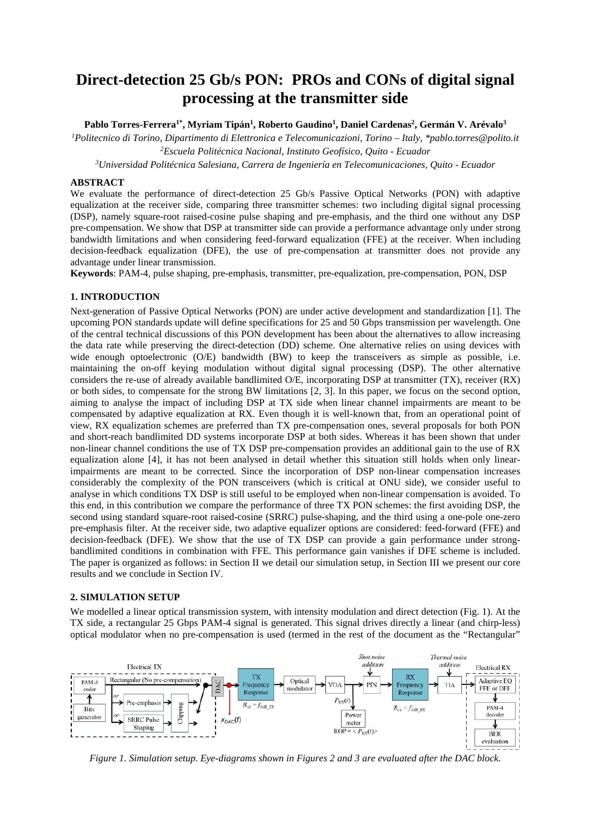# **Direct-detection 25 Gb/s PON: PROs and CONs of digital signal processing at the transmitter side**

**Pablo Torres-Ferrera1\* , Myriam Tipán1 , Roberto Gaudino1 , Daniel Cardenas2 , Germán V. Arévalo3**

*1 Politecnico di Torino, Dipartimento di Elettronica e Telecomunicazioni, Torino – Italy, \*pablo.torres@polito.it 2 Escuela Politécnica Nacional, Instituto Geofísico, Quito - Ecuador*

*3 Universidad Politécnica Salesiana, Carrera de Ingeniería en Telecomunicaciones, Quito - Ecuador*

## **ABSTRACT**

We evaluate the performance of direct-detection 25 Gb/s Passive Optical Networks (PON) with adaptive equalization at the receiver side, comparing three transmitter schemes: two including digital signal processing (DSP), namely square-root raised-cosine pulse shaping and pre-emphasis, and the third one without any DSP pre-compensation. We show that DSP at transmitter side can provide a performance advantage only under strong bandwidth limitations and when considering feed-forward equalization (FFE) at the receiver. When including decision-feedback equalization (DFE), the use of pre-compensation at transmitter does not provide any advantage under linear transmission.

**Keywords**: PAM-4, pulse shaping, pre-emphasis, transmitter, pre-equalization, pre-compensation, PON, DSP

## **1. INTRODUCTION**

Next-generation of Passive Optical Networks (PON) are under active development and standardization [1]. The upcoming PON standards update will define specifications for 25 and 50 Gbps transmission per wavelength. One of the central technical discussions of this PON development has been about the alternatives to allow increasing the data rate while preserving the direct-detection (DD) scheme. One alternative relies on using devices with wide enough optoelectronic (O/E) bandwidth (BW) to keep the transceivers as simple as possible, i.e. maintaining the on-off keying modulation without digital signal processing (DSP). The other alternative considers the re-use of already available bandlimited O/E, incorporating DSP at transmitter (TX), receiver (RX) or both sides, to compensate for the strong BW limitations [2, 3]. In this paper, we focus on the second option, aiming to analyse the impact of including DSP at TX side when linear channel impairments are meant to be compensated by adaptive equalization at RX. Even though it is well-known that, from an operational point of view, RX equalization schemes are preferred than TX pre-compensation ones, several proposals for both PON and short-reach bandlimited DD systems incorporate DSP at both sides. Whereas it has been shown that under non-linear channel conditions the use of TX DSP pre-compensation provides an additional gain to the use of RX equalization alone [4], it has not been analysed in detail whether this situation still holds when only linearimpairments are meant to be corrected. Since the incorporation of DSP non-linear compensation increases considerably the complexity of the PON transceivers (which is critical at ONU side), we consider useful to analyse in which conditions TX DSP is still useful to be employed when non-linear compensation is avoided. To this end, in this contribution we compare the performance of three TX PON schemes: the first avoiding DSP, the second using standard square-root raised-cosine (SRRC) pulse-shaping, and the third using a one-pole one-zero pre-emphasis filter. At the receiver side, two adaptive equalizer options are considered: feed-forward (FFE) and decision-feedback (DFE). We show that the use of TX DSP can provide a gain performance under strongbandlimited conditions in combination with FFE. This performance gain vanishes if DFE scheme is included. The paper is organized as follows: in Section II we detail our simulation setup, in Section III we present our core results and we conclude in Section IV.

#### **2. SIMULATION SETUP**

We modelled a linear optical transmission system, with intensity modulation and direct detection (Fig. 1). At the TX side, a rectangular 25 Gbps PAM-4 signal is generated. This signal drives directly a linear (and chirp-less) optical modulator when no pre-compensation is used (termed in the rest of the document as the "Rectangular"



*Figure 1. Simulation setup. Eye-diagrams shown in Figures 2 and 3 are evaluated after the DAC block.*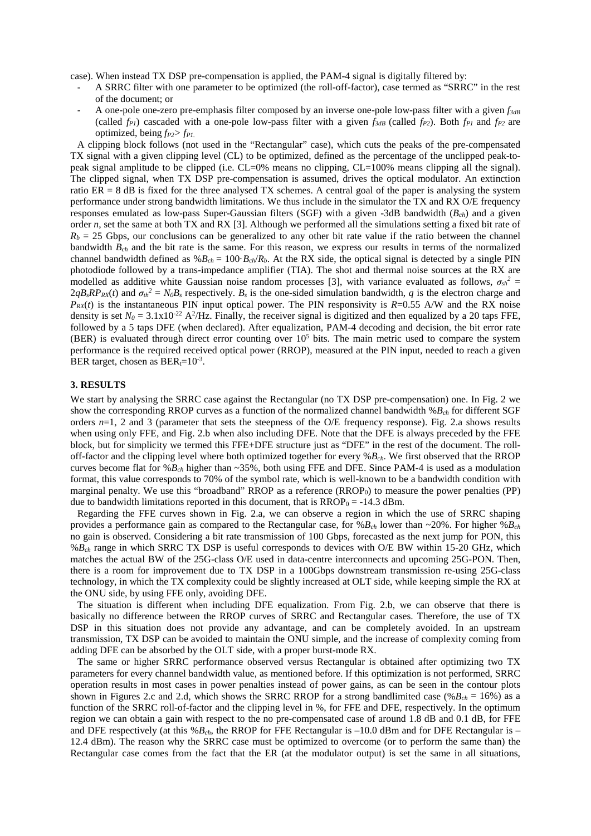case). When instead TX DSP pre-compensation is applied, the PAM-4 signal is digitally filtered by:

- A SRRC filter with one parameter to be optimized (the roll-off-factor), case termed as "SRRC" in the rest of the document; or
- A one-pole one-zero pre-emphasis filter composed by an inverse one-pole low-pass filter with a given *f3dB* (called  $f_{PI}$ ) cascaded with a one-pole low-pass filter with a given  $f_{3dB}$  (called  $f_{P2}$ ). Both  $f_{PI}$  and  $f_{P2}$  are optimized, being  $f_{P2} > f_{PL}$ .

A clipping block follows (not used in the "Rectangular" case), which cuts the peaks of the pre-compensated TX signal with a given clipping level (CL) to be optimized, defined as the percentage of the unclipped peak-topeak signal amplitude to be clipped (i.e. CL=0% means no clipping, CL=100% means clipping all the signal). The clipped signal, when TX DSP pre-compensation is assumed, drives the optical modulator. An extinction ratio  $ER = 8$  dB is fixed for the three analysed TX schemes. A central goal of the paper is analysing the system performance under strong bandwidth limitations. We thus include in the simulator the TX and RX O/E frequency responses emulated as low-pass Super-Gaussian filters (SGF) with a given -3dB bandwidth (*Bch*) and a given order *n*, set the same at both TX and RX [3]. Although we performed all the simulations setting a fixed bit rate of  $R_b$  = 25 Gbps, our conclusions can be generalized to any other bit rate value if the ratio between the channel bandwidth *Bch* and the bit rate is the same. For this reason, we express our results in terms of the normalized channel bandwidth defined as  $%B_{ch} = 100 \cdot B_{ch}/R_b$ . At the RX side, the optical signal is detected by a single PIN photodiode followed by a trans-impedance amplifier (TIA). The shot and thermal noise sources at the RX are modelled as additive white Gaussian noise random processes [3], with variance evaluated as follows,  $\sigma_{sh}^2$  =  $2qB_sRP_{RX}(t)$  and  $\sigma_{th}^2 = N_0B_s$  respectively.  $B_s$  is the one-sided simulation bandwidth, *q* is the electron charge and  $P_{RX}(t)$  is the instantaneous PIN input optical power. The PIN responsivity is  $R=0.55$  A/W and the RX noise density is set  $N_0 = 3.1 \times 10^{-22}$  A<sup>2</sup>/Hz. Finally, the receiver signal is digitized and then equalized by a 20 taps FFE, followed by a 5 taps DFE (when declared). After equalization, PAM-4 decoding and decision, the bit error rate (BER) is evaluated through direct error counting over  $10<sup>5</sup>$  bits. The main metric used to compare the system performance is the required received optical power (RROP), measured at the PIN input, needed to reach a given BER target, chosen as  $BER_t=10^{-3}$ .

## **3. RESULTS**

We start by analysing the SRRC case against the Rectangular (no TX DSP pre-compensation) one. In Fig. 2 we show the corresponding RROP curves as a function of the normalized channel bandwidth %*Bch* for different SGF orders  $n=1$ , 2 and 3 (parameter that sets the steepness of the O/E frequency response). Fig. 2.a shows results when using only FFE, and Fig. 2.b when also including DFE. Note that the DFE is always preceded by the FFE block, but for simplicity we termed this FFE+DFE structure just as "DFE" in the rest of the document. The rolloff-factor and the clipping level where both optimized together for every %*Bch*. We first observed that the RROP curves become flat for  $%B_{ch}$  higher than ~35%, both using FFE and DFE. Since PAM-4 is used as a modulation format, this value corresponds to 70% of the symbol rate, which is well-known to be a bandwidth condition with marginal penalty. We use this "broadband" RROP as a reference (RROP<sub>0</sub>) to measure the power penalties (PP) due to bandwidth limitations reported in this document, that is  $RROP_0 = -14.3$  dBm.

Regarding the FFE curves shown in Fig. 2.a, we can observe a region in which the use of SRRC shaping provides a performance gain as compared to the Rectangular case, for %*Bch* lower than ~20%. For higher %*Bch* no gain is observed. Considering a bit rate transmission of 100 Gbps, forecasted as the next jump for PON, this %*Bch* range in which SRRC TX DSP is useful corresponds to devices with O/E BW within 15-20 GHz, which matches the actual BW of the 25G-class O/E used in data-centre interconnects and upcoming 25G-PON. Then, there is a room for improvement due to TX DSP in a 100Gbps downstream transmission re-using 25G-class technology, in which the TX complexity could be slightly increased at OLT side, while keeping simple the RX at the ONU side, by using FFE only, avoiding DFE.

The situation is different when including DFE equalization. From Fig. 2.b, we can observe that there is basically no difference between the RROP curves of SRRC and Rectangular cases. Therefore, the use of TX DSP in this situation does not provide any advantage, and can be completely avoided. In an upstream transmission, TX DSP can be avoided to maintain the ONU simple, and the increase of complexity coming from adding DFE can be absorbed by the OLT side, with a proper burst-mode RX.

The same or higher SRRC performance observed versus Rectangular is obtained after optimizing two TX parameters for every channel bandwidth value, as mentioned before. If this optimization is not performed, SRRC operation results in most cases in power penalties instead of power gains, as can be seen in the contour plots shown in Figures 2.c and 2.d, which shows the SRRC RROP for a strong bandlimited case (% $B_{ch} = 16\%$ ) as a function of the SRRC roll-of-factor and the clipping level in %, for FFE and DFE, respectively. In the optimum region we can obtain a gain with respect to the no pre-compensated case of around 1.8 dB and 0.1 dB, for FFE and DFE respectively (at this %*Bch*, the RROP for FFE Rectangular is –10.0 dBm and for DFE Rectangular is – 12.4 dBm). The reason why the SRRC case must be optimized to overcome (or to perform the same than) the Rectangular case comes from the fact that the ER (at the modulator output) is set the same in all situations,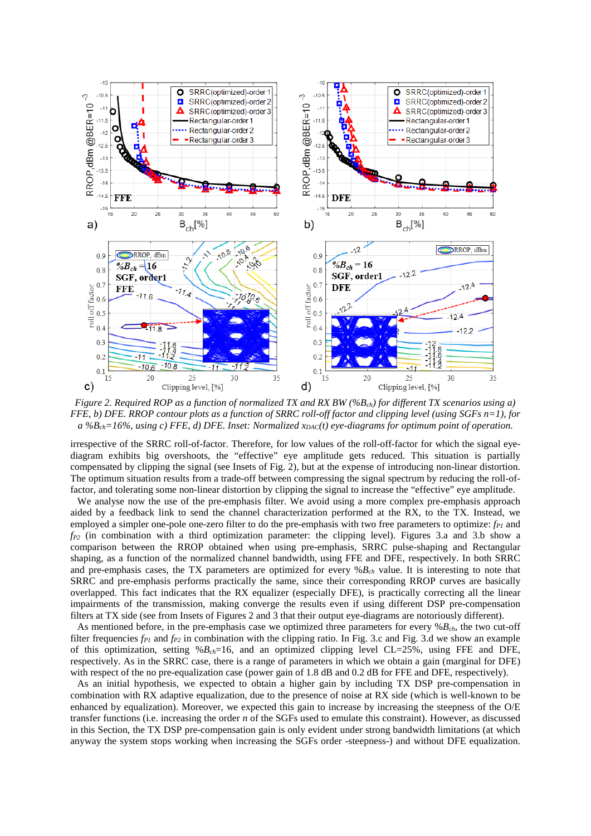

*Figure 2. Required ROP as a function of normalized TX and RX BW (%Bch) for different TX scenarios using a) FFE, b) DFE. RROP contour plots as a function of SRRC roll-off factor and clipping level (using SGFs n=1), for a %Bch=16%, using c) FFE, d) DFE. Inset: Normalized xDAC(t) eye-diagrams for optimum point of operation.*

irrespective of the SRRC roll-of-factor. Therefore, for low values of the roll-off-factor for which the signal eyediagram exhibits big overshoots, the "effective" eye amplitude gets reduced. This situation is partially compensated by clipping the signal (see Insets of Fig. 2), but at the expense of introducing non-linear distortion. The optimum situation results from a trade-off between compressing the signal spectrum by reducing the roll-offactor, and tolerating some non-linear distortion by clipping the signal to increase the "effective" eye amplitude.

We analyse now the use of the pre-emphasis filter. We avoid using a more complex pre-emphasis approach aided by a feedback link to send the channel characterization performed at the RX, to the TX. Instead, we employed a simpler one-pole one-zero filter to do the pre-emphasis with two free parameters to optimize: *f<sub>P1</sub>* and *fP2* (in combination with a third optimization parameter: the clipping level). Figures 3.a and 3.b show a comparison between the RROP obtained when using pre-emphasis, SRRC pulse-shaping and Rectangular shaping, as a function of the normalized channel bandwidth, using FFE and DFE, respectively. In both SRRC and pre-emphasis cases, the TX parameters are optimized for every %*Bch* value. It is interesting to note that SRRC and pre-emphasis performs practically the same, since their corresponding RROP curves are basically overlapped. This fact indicates that the RX equalizer (especially DFE), is practically correcting all the linear impairments of the transmission, making converge the results even if using different DSP pre-compensation filters at TX side (see from Insets of Figures 2 and 3 that their output eye-diagrams are notoriously different).

As mentioned before, in the pre-emphasis case we optimized three parameters for every %*Bch*, the two cut-off filter frequencies  $f_{PI}$  and  $f_{P2}$  in combination with the clipping ratio. In Fig. 3.c and Fig. 3.d we show an example of this optimization, setting %*Bch*=16, and an optimized clipping level CL=25%, using FFE and DFE, respectively. As in the SRRC case, there is a range of parameters in which we obtain a gain (marginal for DFE) with respect of the no pre-equalization case (power gain of 1.8 dB and 0.2 dB for FFE and DFE, respectively).

As an initial hypothesis, we expected to obtain a higher gain by including TX DSP pre-compensation in combination with RX adaptive equalization, due to the presence of noise at RX side (which is well-known to be enhanced by equalization). Moreover, we expected this gain to increase by increasing the steepness of the O/E transfer functions (i.e. increasing the order *n* of the SGFs used to emulate this constraint). However, as discussed in this Section, the TX DSP pre-compensation gain is only evident under strong bandwidth limitations (at which anyway the system stops working when increasing the SGFs order -steepness-) and without DFE equalization.